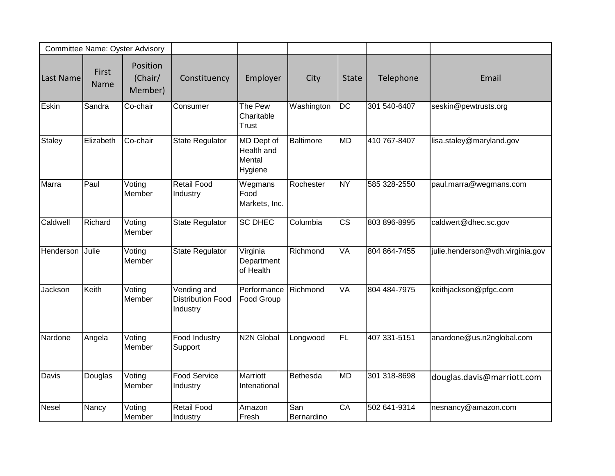| <b>Committee Name: Oyster Advisory</b> |               |                                |                                                     |                                               |                   |                        |              |                                  |
|----------------------------------------|---------------|--------------------------------|-----------------------------------------------------|-----------------------------------------------|-------------------|------------------------|--------------|----------------------------------|
| <b>Last Name</b>                       | First<br>Name | Position<br>(Chair/<br>Member) | Constituency                                        | Employer                                      | City              | <b>State</b>           | Telephone    | Email                            |
| Eskin                                  | Sandra        | Co-chair                       | Consumer                                            | The Pew<br>Charitable<br>Trust                | Washington        | $\overline{DC}$        | 301 540-6407 | seskin@pewtrusts.org             |
| Staley                                 | Elizabeth     | Co-chair                       | <b>State Regulator</b>                              | MD Dept of<br>Health and<br>Mental<br>Hygiene | <b>Baltimore</b>  | <b>MD</b>              | 410 767-8407 | lisa.staley@maryland.gov         |
| Marra                                  | Paul          | Voting<br>Member               | <b>Retail Food</b><br>Industry                      | Wegmans<br>Food<br>Markets, Inc.              | Rochester         | <b>NY</b>              | 585 328-2550 | paul.marra@wegmans.com           |
| Caldwell                               | Richard       | Voting<br>Member               | <b>State Regulator</b>                              | <b>SC DHEC</b>                                | Columbia          | $\overline{\text{cs}}$ | 803 896-8995 | caldwert@dhec.sc.gov             |
| Henderson                              | Julie         | Voting<br>Member               | <b>State Regulator</b>                              | Virginia<br>Department<br>of Health           | Richmond          | VA                     | 804 864-7455 | julie.henderson@vdh.virginia.gov |
| Jackson                                | Keith         | Voting<br>Member               | Vending and<br><b>Distribution Food</b><br>Industry | Performance<br>Food Group                     | Richmond          | <b>VA</b>              | 804 484-7975 | keithjackson@pfgc.com            |
| Nardone                                | Angela        | Voting<br>Member               | Food Industry<br>Support                            | N2N Global                                    | Longwood          | FL                     | 407 331-5151 | anardone@us.n2nglobal.com        |
| Davis                                  | Douglas       | Voting<br>Member               | <b>Food Service</b><br>Industry                     | Marriott<br>Intenational                      | <b>Bethesda</b>   | <b>MD</b>              | 301 318-8698 | douglas.davis@marriott.com       |
| Nesel                                  | Nancy         | Voting<br>Member               | <b>Retail Food</b><br>Industry                      | Amazon<br>Fresh                               | San<br>Bernardino | $\overline{CA}$        | 502 641-9314 | nesnancy@amazon.com              |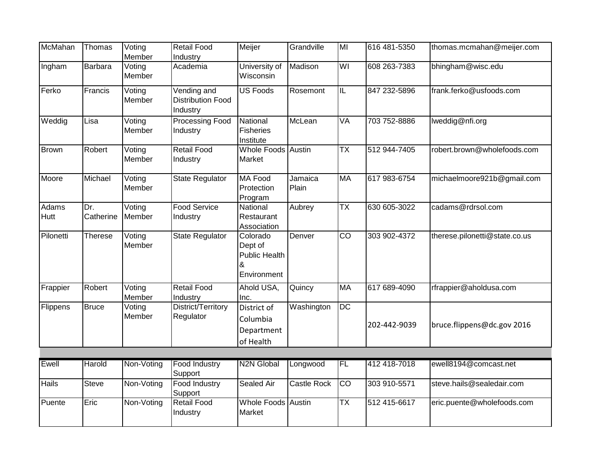| McMahan       | Thomas           | Voting<br>Member | <b>Retail Food</b><br>Industry                      | Meijer                                                          | Grandville       | MI                       | 616 481-5350 | thomas.mcmahan@meijer.com     |
|---------------|------------------|------------------|-----------------------------------------------------|-----------------------------------------------------------------|------------------|--------------------------|--------------|-------------------------------|
| Ingham        | Barbara          | Voting<br>Member | Academia                                            | University of<br>Wisconsin                                      | Madison          | WI                       | 608 263-7383 | bhingham@wisc.edu             |
| Ferko         | Francis          | Voting<br>Member | Vending and<br><b>Distribution Food</b><br>Industry | <b>US Foods</b>                                                 | Rosemont         | $\overline{\mathsf{L}}$  | 847 232-5896 | frank.ferko@usfoods.com       |
| Weddig        | Lisa             | Voting<br>Member | <b>Processing Food</b><br>Industry                  | National<br><b>Fisheries</b><br>Institute                       | McLean           | VA                       | 703 752-8886 | lweddig@nfi.org               |
| Brown         | Robert           | Voting<br>Member | <b>Retail Food</b><br>Industry                      | <b>Whole Foods Austin</b><br>Market                             |                  | $\overline{\mathsf{TX}}$ | 512 944-7405 | robert.brown@wholefoods.com   |
| Moore         | Michael          | Voting<br>Member | <b>State Regulator</b>                              | <b>MA Food</b><br>Protection<br>Program                         | Jamaica<br>Plain | <b>MA</b>                | 617 983-6754 | michaelmoore921b@gmail.com    |
| Adams<br>Hutt | Dr.<br>Catherine | Voting<br>Member | <b>Food Service</b><br>Industry                     | National<br>Restaurant<br>Association                           | Aubrey           | <b>TX</b>                | 630 605-3022 | cadams@rdrsol.com             |
| Pilonetti     | <b>Therese</b>   | Voting<br>Member | <b>State Regulator</b>                              | Colorado<br>Dept of<br><b>Public Health</b><br>&<br>Environment | Denver           | CO                       | 303 902-4372 | therese.pilonetti@state.co.us |
| Frappier      | Robert           | Voting<br>Member | <b>Retail Food</b><br>Industry                      | Ahold USA,<br>Inc.                                              | Quincy           | <b>MA</b>                | 617 689-4090 | rfrappier@aholdusa.com        |
| Flippens      | <b>Bruce</b>     | Voting<br>Member | District/Territory<br>Regulator                     | District of<br>Columbia<br>Department<br>of Health              | Washington       | DC                       | 202-442-9039 | bruce.flippens@dc.gov 2016    |
|               |                  |                  |                                                     |                                                                 |                  |                          |              |                               |
| Ewell         | Harold           | Non-Voting       | <b>Food Industry</b><br>Support                     | <b>N2N Global</b>                                               | Longwood         | FL                       | 412 418-7018 | ewell8194@comcast.net         |
| Hails         | Steve            | Non-Voting       | Food Industry<br>Support                            | Sealed Air                                                      | Castle Rock      | $\overline{co}$          | 303 910-5571 | steve.hails@sealedair.com     |
| Puente        | Eric             | Non-Voting       | <b>Retail Food</b><br>Industry                      | <b>Whole Foods Austin</b><br>Market                             |                  | $\overline{\mathsf{TX}}$ | 512 415-6617 | eric.puente@wholefoods.com    |